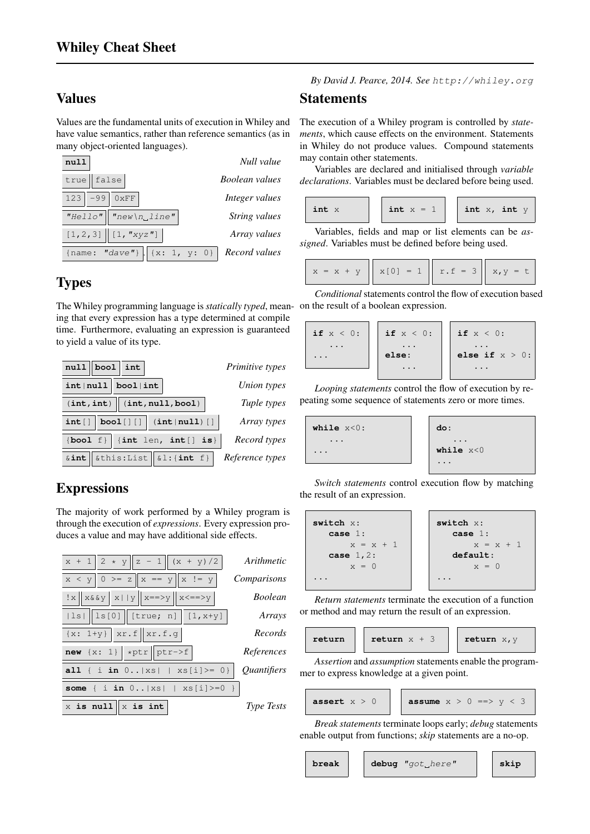## Values

Values are the fundamental units of execution in Whiley and have value semantics, rather than reference semantics (as in many object-oriented languages).



# **Types**

The Whiley programming language is*statically typed*, mean-on the result of a boolean expression. ing that every expression has a type determined at compile time. Furthermore, evaluating an expression is guaranteed to yield a value of its type.



# **Expressions**

The majority of work performed by a Whiley program is through the execution of *expressions*. Every expression produces a value and may have additional side effects.



*By David J. Pearce, 2014. See* http://whiley.org

#### **Statements**

The execution of a Whiley program is controlled by *statements*, which cause effects on the environment. Statements in Whiley do not produce values. Compound statements may contain other statements.

Variables are declared and initialised through *variable declarations*. Variables must be declared before being used.

| int x | int $x = 1$ | int $x$ , int $y$ |
|-------|-------------|-------------------|
|       |             |                   |

Variables, fields and map or list elements can be *assigned*. Variables must be defined before being used.

$$
x = x + y \quad x[0] = 1 \quad x.f = 3 \quad x,y = t
$$

*Conditional*statements control the flow of execution based

| if $x < 0$ :         | if $x < 0$ : | $\vert$ if $x < 0$ : |
|----------------------|--------------|----------------------|
| $\ddotsc$<br>$\cdot$ | else:        | else if $x > 0$ :    |
|                      |              |                      |

*Looping statements* control the flow of execution by repeating some sequence of statements zero or more times.

| while $x < 0$ :                   | do:                       |
|-----------------------------------|---------------------------|
| $\cdot$<br>$\ddot{\phantom{0}}$ . | $\cdots$<br>while $x < 0$ |
|                                   |                           |

*Switch statements* control execution flow by matching the result of an expression.

| switch x:   | switch x:   |
|-------------|-------------|
| case 1:     | case 1:     |
| $x = x + 1$ | case 1:     |
| case 1, 2:  | $x = x + 1$ |
| $x = 0$     | $x = 0$     |
| ...         | ...         |

*Return statements* terminate the execution of a function or method and may return the result of an expression.

| return $x + 3$<br>return<br>return $x, y$ |
|-------------------------------------------|
|-------------------------------------------|

*Assertion* and *assumption* statements enable the programmer to express knowledge at a given point.

$$
\begin{array}{|c|c|c|c|c|c|c|c|c|}\n \hline\n \text{assert } x > 0 & \text{assume } x > 0 \implies y < 3\n \end{array}
$$

$$
me x > 0 \implies y < 3
$$

*Break statements*terminate loops early; *debug* statements enable output from functions; *skip* statements are a no-op.

$$
\qquad \qquad \texttt{break} \qquad \qquad
$$

**break debug** "got here" **skip**